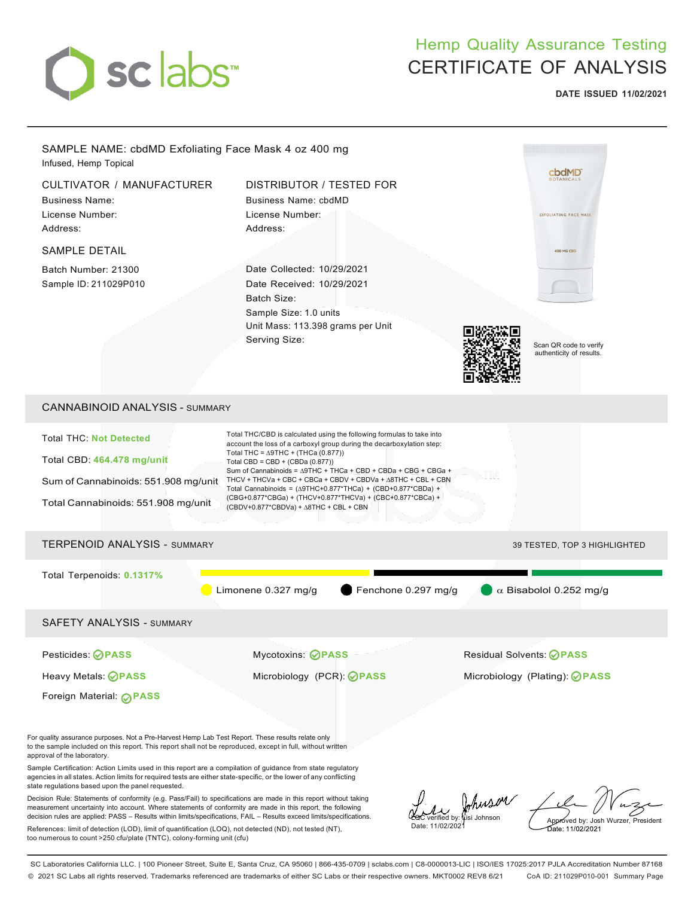

# Hemp Quality Assurance Testing CERTIFICATE OF ANALYSIS

**DATE ISSUED 11/02/2021**



SC Laboratories California LLC. | 100 Pioneer Street, Suite E, Santa Cruz, CA 95060 | 866-435-0709 | sclabs.com | C8-0000013-LIC | ISO/IES 17025:2017 PJLA Accreditation Number 87168 © 2021 SC Labs all rights reserved. Trademarks referenced are trademarks of either SC Labs or their respective owners. MKT0002 REV8 6/21 CoA ID: 211029P010-001 Summary Page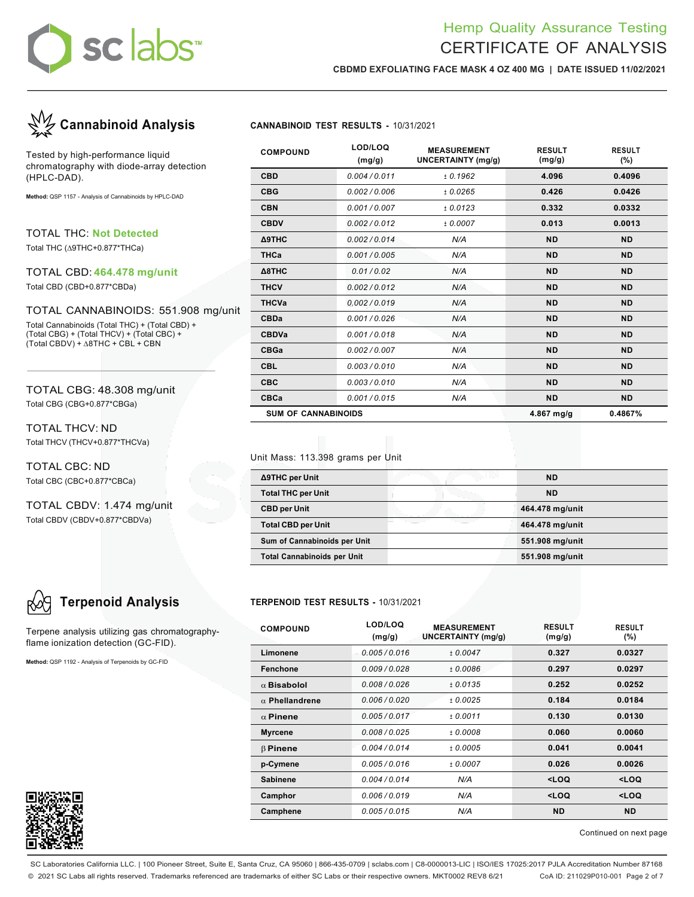# **sc labs**™

# Hemp Quality Assurance Testing CERTIFICATE OF ANALYSIS

**CBDMD EXFOLIATING FACE MASK 4 OZ 400 MG | DATE ISSUED 11/02/2021**



Tested by high-performance liquid chromatography with diode-array detection (HPLC-DAD).

**Method:** QSP 1157 - Analysis of Cannabinoids by HPLC-DAD

TOTAL THC: **Not Detected**

Total THC (∆9THC+0.877\*THCa)

### TOTAL CBD: **464.478 mg/unit**

Total CBD (CBD+0.877\*CBDa)

### TOTAL CANNABINOIDS: 551.908 mg/unit

Total Cannabinoids (Total THC) + (Total CBD) + (Total CBG) + (Total THCV) + (Total CBC) + (Total CBDV) + ∆8THC + CBL + CBN

TOTAL CBG: 48.308 mg/unit Total CBG (CBG+0.877\*CBGa)

TOTAL THCV: ND Total THCV (THCV+0.877\*THCVa)

TOTAL CBC: ND Total CBC (CBC+0.877\*CBCa)

TOTAL CBDV: 1.474 mg/unit Total CBDV (CBDV+0.877\*CBDVa)

Terpene analysis utilizing gas chromatographyflame ionization detection (GC-FID).

**Method:** QSP 1192 - Analysis of Terpenoids by GC-FID



| <b>COMPOUND</b>            | LOD/LOQ<br>(mg/g) | <b>MEASUREMENT</b><br><b>UNCERTAINTY (mg/g)</b> | <b>RESULT</b><br>(mg/g) | <b>RESULT</b><br>$(\% )$ |
|----------------------------|-------------------|-------------------------------------------------|-------------------------|--------------------------|
| <b>CBD</b>                 | 0.004/0.011       | ± 0.1962                                        | 4.096                   | 0.4096                   |
| <b>CBG</b>                 | 0.002/0.006       | ± 0.0265                                        | 0.426                   | 0.0426                   |
| <b>CBN</b>                 | 0.001/0.007       | ± 0.0123                                        | 0.332                   | 0.0332                   |
| <b>CBDV</b>                | 0.002/0.012       | ± 0.0007                                        | 0.013                   | 0.0013                   |
| <b>A9THC</b>               | 0.002/0.014       | N/A                                             | <b>ND</b>               | <b>ND</b>                |
| <b>THCa</b>                | 0.001/0.005       | N/A                                             | <b>ND</b>               | <b>ND</b>                |
| Δ8THC                      | 0.01/0.02         | N/A                                             | <b>ND</b>               | <b>ND</b>                |
| <b>THCV</b>                | 0.002/0.012       | N/A                                             | <b>ND</b>               | <b>ND</b>                |
| <b>THCVa</b>               | 0.002/0.019       | N/A                                             | <b>ND</b>               | <b>ND</b>                |
| <b>CBDa</b>                | 0.001/0.026       | N/A                                             | <b>ND</b>               | <b>ND</b>                |
| <b>CBDVa</b>               | 0.001/0.018       | N/A                                             | <b>ND</b>               | <b>ND</b>                |
| <b>CBGa</b>                | 0.002/0.007       | N/A                                             | <b>ND</b>               | <b>ND</b>                |
| <b>CBL</b>                 | 0.003/0.010       | N/A                                             | <b>ND</b>               | <b>ND</b>                |
| <b>CBC</b>                 | 0.003/0.010       | N/A                                             | <b>ND</b>               | <b>ND</b>                |
| CBCa                       | 0.001/0.015       | N/A                                             | <b>ND</b>               | <b>ND</b>                |
| <b>SUM OF CANNABINOIDS</b> |                   |                                                 | 4.867 $mg/g$            | 0.4867%                  |

### Unit Mass: 113.398 grams per Unit

| ∆9THC per Unit                     | <b>ND</b>       |
|------------------------------------|-----------------|
| <b>Total THC per Unit</b>          | <b>ND</b>       |
| <b>CBD per Unit</b>                | 464.478 mg/unit |
| <b>Total CBD per Unit</b>          | 464.478 mg/unit |
| Sum of Cannabinoids per Unit       | 551.908 mg/unit |
| <b>Total Cannabinoids per Unit</b> | 551.908 mg/unit |

## **Terpenoid Analysis TERPENOID TEST RESULTS -** 10/31/2021

| <b>COMPOUND</b>       | LOD/LOQ<br>(mg/g) | <b>MEASUREMENT</b><br><b>UNCERTAINTY (mg/g)</b> | <b>RESULT</b><br>(mg/g)                         | <b>RESULT</b><br>$(\% )$ |
|-----------------------|-------------------|-------------------------------------------------|-------------------------------------------------|--------------------------|
| Limonene              | 0.005/0.016       | ± 0.0047                                        | 0.327                                           | 0.0327                   |
| Fenchone              | 0.009/0.028       | ±0.0086                                         | 0.297                                           | 0.0297                   |
| $\alpha$ Bisabolol    | 0.008/0.026       | ± 0.0135                                        | 0.252                                           | 0.0252                   |
| $\alpha$ Phellandrene | 0.006/0.020       | ± 0.0025                                        | 0.184                                           | 0.0184                   |
| $\alpha$ Pinene       | 0.005/0.017       | ± 0.0011                                        | 0.130                                           | 0.0130                   |
| <b>Myrcene</b>        | 0.008/0.025       | $+0.0008$                                       | 0.060                                           | 0.0060                   |
| $\beta$ Pinene        | 0.004/0.014       | ± 0.0005                                        | 0.041                                           | 0.0041                   |
| p-Cymene              | 0.005/0.016       | ± 0.0007                                        | 0.026                                           | 0.0026                   |
| <b>Sabinene</b>       | 0.004/0.014       | N/A                                             | <loq< th=""><th><loq< th=""></loq<></th></loq<> | <loq< th=""></loq<>      |
| Camphor               | 0.006/0.019       | N/A                                             | <loq< th=""><th><loq< th=""></loq<></th></loq<> | <loq< th=""></loq<>      |
| Camphene              | 0.005/0.015       | N/A                                             | <b>ND</b>                                       | <b>ND</b>                |

Continued on next page

SC Laboratories California LLC. | 100 Pioneer Street, Suite E, Santa Cruz, CA 95060 | 866-435-0709 | sclabs.com | C8-0000013-LIC | ISO/IES 17025:2017 PJLA Accreditation Number 87168 © 2021 SC Labs all rights reserved. Trademarks referenced are trademarks of either SC Labs or their respective owners. MKT0002 REV8 6/21 CoA ID: 211029P010-001 Page 2 of 7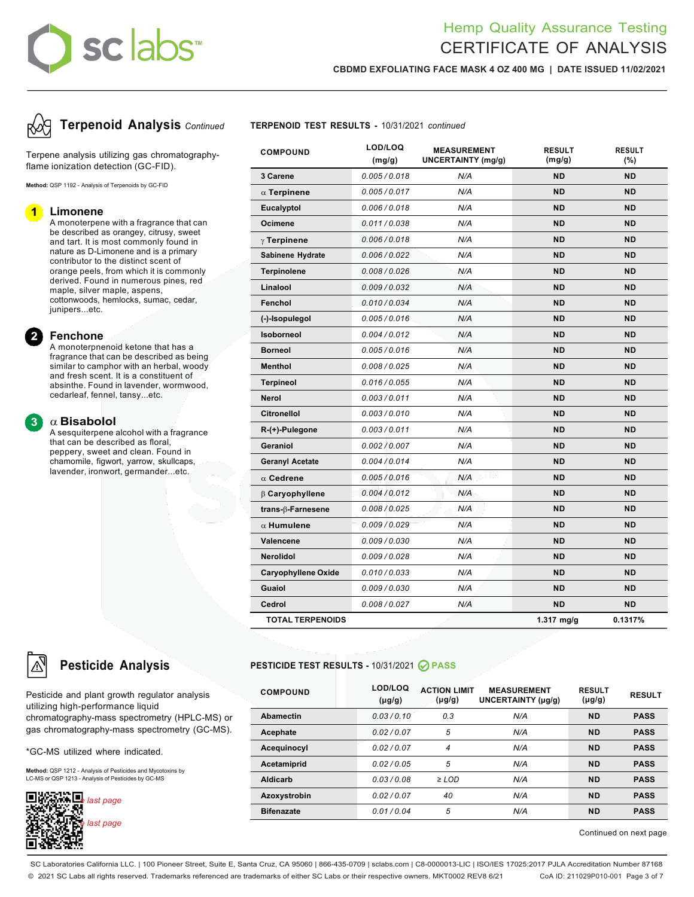# sclabs<sup>®</sup>

# Hemp Quality Assurance Testing CERTIFICATE OF ANALYSIS

**RESULT (mg/g)**

**RESULT (%)**

**CBDMD EXFOLIATING FACE MASK 4 OZ 400 MG | DATE ISSUED 11/02/2021**

**MEASUREMENT UNCERTAINTY (mg/g)**

**3 Carene** *0.005 / 0.018 N/A* **ND ND** a **Terpinene** *0.005 / 0.017 N/A* **ND ND Eucalyptol** *0.006 / 0.018 N/A* **ND ND**



Terpene analysis utilizing gas chromatographyflame ionization detection (GC-FID).

**Method:** QSP 1192 - Analysis of Terpenoids by GC-FID

### **Limonene**

A monoterpene with a fragrance that can be described as orangey, citrusy, sweet and tart. It is most commonly found in nature as D-Limonene and is a primary contributor to the distinct scent of orange peels, from which it is commonly derived. Found in numerous pines, red maple, silver maple, aspens, cottonwoods, hemlocks, sumac, cedar, junipers...etc.

### **Fenchone**

A monoterpnenoid ketone that has a fragrance that can be described as being similar to camphor with an herbal, woody and fresh scent. It is a constituent of absinthe. Found in lavender, wormwood, cedarleaf, fennel, tansy...etc.

### a **Bisabolol**

A sesquiterpene alcohol with a fragrance that can be described as floral, peppery, sweet and clean. Found in chamomile, figwort, yarrow, skullcaps, lavender, ironwort, germander...etc.

| <b>TOTAL TERPENOIDS</b>    |               |            | $1.317$ ma/a | 0.1317%   |
|----------------------------|---------------|------------|--------------|-----------|
| Cedrol                     | 0.008/0.027   | N/A        | <b>ND</b>    | <b>ND</b> |
| Guaiol                     | 0.009 / 0.030 | N/A        | <b>ND</b>    | <b>ND</b> |
| <b>Caryophyllene Oxide</b> | 0.010 / 0.033 | N/A        | <b>ND</b>    | <b>ND</b> |
| <b>Nerolidol</b>           | 0.009 / 0.028 | N/A        | <b>ND</b>    | <b>ND</b> |
| Valencene                  | 0.009/0.030   | N/A        | <b>ND</b>    | <b>ND</b> |
| $\alpha$ Humulene          | 0.009 / 0.029 | N/A        | <b>ND</b>    | <b>ND</b> |
| trans- $\beta$ -Farnesene  | 0.008 / 0.025 | N/A        | <b>ND</b>    | <b>ND</b> |
| <b>B</b> Caryophyllene     | 0.004 / 0.012 | N/A        | <b>ND</b>    | <b>ND</b> |
| $\alpha$ Cedrene           | 0.005 / 0.016 | LV.<br>N/A | <b>ND</b>    | <b>ND</b> |
| <b>Geranyl Acetate</b>     | 0.004 / 0.014 | N/A        | <b>ND</b>    | <b>ND</b> |
| Geraniol                   | 0.002/0.007   | N/A        | <b>ND</b>    | <b>ND</b> |
| $R-(+)$ -Pulegone          | 0.003/0.011   | N/A        | <b>ND</b>    | <b>ND</b> |
| <b>Citronellol</b>         | 0.003/0.010   | N/A        | <b>ND</b>    | <b>ND</b> |
| <b>Nerol</b>               | 0.003/0.011   | N/A        | <b>ND</b>    | <b>ND</b> |
| <b>Terpineol</b>           | 0.016 / 0.055 | N/A        | <b>ND</b>    | <b>ND</b> |
| <b>Menthol</b>             | 0.008 / 0.025 | N/A        | <b>ND</b>    | <b>ND</b> |
| <b>Borneol</b>             | 0.005 / 0.016 | N/A        | <b>ND</b>    | <b>ND</b> |
| <b>Isoborneol</b>          | 0.004/0.012   | N/A        | <b>ND</b>    | <b>ND</b> |
| (-)-Isopulegol             | 0.005/0.016   | N/A        | <b>ND</b>    | <b>ND</b> |
| Fenchol                    | 0.010 / 0.034 | N/A        | <b>ND</b>    | <b>ND</b> |
| Linalool                   | 0.009/0.032   | N/A        | <b>ND</b>    | <b>ND</b> |
| <b>Terpinolene</b>         | 0.008/0.026   | N/A        | <b>ND</b>    | <b>ND</b> |
| Sabinene Hydrate           | 0.006 / 0.022 | N/A        | <b>ND</b>    | <b>ND</b> |
| $\gamma$ Terpinene         | 0.006/0.018   | N/A        | <b>ND</b>    | <b>ND</b> |
| <b>Ocimene</b>             | 0.011/0.038   | N/A        | <b>ND</b>    | <b>ND</b> |

### **Pesticide Analysis PESTICIDE TEST RESULTS -** 10/31/2021 **PASS**

| <b>COMPOUND</b>   | LOD/LOQ<br>$(\mu g/g)$ | <b>ACTION LIMIT</b><br>$(\mu g/g)$ | <b>MEASUREMENT</b><br>UNCERTAINTY (µg/g) | <b>RESULT</b><br>$(\mu g/g)$ | <b>RESULT</b> |
|-------------------|------------------------|------------------------------------|------------------------------------------|------------------------------|---------------|
| <b>Abamectin</b>  | 0.03/0.10              | 0.3                                | N/A                                      | <b>ND</b>                    | <b>PASS</b>   |
| Acephate          | 0.02/0.07              | 5                                  | N/A                                      | <b>ND</b>                    | <b>PASS</b>   |
| Acequinocyl       | 0.02/0.07              | 4                                  | N/A                                      | <b>ND</b>                    | <b>PASS</b>   |
| Acetamiprid       | 0.02/0.05              | 5                                  | N/A                                      | <b>ND</b>                    | <b>PASS</b>   |
| <b>Aldicarb</b>   | 0.03/0.08              | $\geq$ LOD                         | N/A                                      | <b>ND</b>                    | <b>PASS</b>   |
| Azoxystrobin      | 0.02/0.07              | 40                                 | N/A                                      | <b>ND</b>                    | <b>PASS</b>   |
| <b>Bifenazate</b> | 0.01/0.04              | 5                                  | N/A                                      | <b>ND</b>                    | <b>PASS</b>   |

Continued on next page

Pesticide and plant growth regulator analysis utilizing high-performance liquid chromatography-mass spectrometry (HPLC-MS) or gas chromatography-mass spectrometry (GC-MS).

\*GC-MS utilized where indicated.

**Method:** QSP 1212 - Analysis of Pesticides and Mycotoxins by LC-MS or QSP 1213 - Analysis of Pesticides by GC-MS



SC Laboratories California LLC. | 100 Pioneer Street, Suite E, Santa Cruz, CA 95060 | 866-435-0709 | sclabs.com | C8-0000013-LIC | ISO/IES 17025:2017 PJLA Accreditation Number 87168 © 2021 SC Labs all rights reserved. Trademarks referenced are trademarks of either SC Labs or their respective owners. MKT0002 REV8 6/21 CoA ID: 211029P010-001 Page 3 of 7

**(mg/g)**

**COMPOUND LOD/LOQ**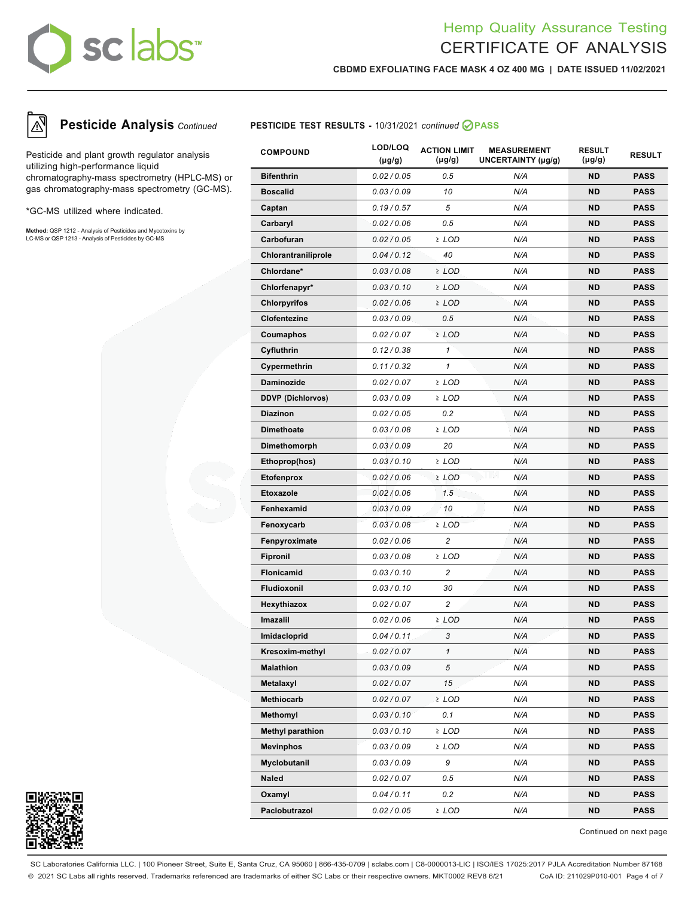# sc labs™

# Hemp Quality Assurance Testing CERTIFICATE OF ANALYSIS

**CBDMD EXFOLIATING FACE MASK 4 OZ 400 MG | DATE ISSUED 11/02/2021**



Pesticide and plant growth regulator analysis utilizing high-performance liquid chromatography-mass spectrometry (HPLC-MS) or gas chromatography-mass spectrometry (GC-MS).

\*GC-MS utilized where indicated.

**Method:** QSP 1212 - Analysis of Pesticides and Mycotoxins by LC-MS or QSP 1213 - Analysis of Pesticides by GC-MS



| <b>COMPOUND</b>          | LOD/LOQ<br>$(\mu g/g)$ | <b>ACTION LIMIT</b><br>$(\mu g/g)$ | <b>MEASUREMENT</b><br>UNCERTAINTY (µg/g) | <b>RESULT</b><br>$(\mu g/g)$ | <b>RESULT</b> |
|--------------------------|------------------------|------------------------------------|------------------------------------------|------------------------------|---------------|
| <b>Bifenthrin</b>        | 0.02 / 0.05            | 0.5                                | N/A                                      | <b>ND</b>                    | <b>PASS</b>   |
| <b>Boscalid</b>          | 0.03/0.09              | 10                                 | N/A                                      | <b>ND</b>                    | <b>PASS</b>   |
| Captan                   | 0.19/0.57              | 5                                  | N/A                                      | <b>ND</b>                    | <b>PASS</b>   |
| Carbaryl                 | 0.02 / 0.06            | 0.5                                | N/A                                      | <b>ND</b>                    | <b>PASS</b>   |
| Carbofuran               | 0.02 / 0.05            | ≥ LOD                              | N/A                                      | <b>ND</b>                    | <b>PASS</b>   |
| Chlorantraniliprole      | 0.04/0.12              | 40                                 | N/A                                      | <b>ND</b>                    | <b>PASS</b>   |
| Chlordane*               | 0.03/0.08              | $2$ LOD                            | N/A                                      | <b>ND</b>                    | <b>PASS</b>   |
| Chlorfenapyr*            | 0.03/0.10              | ≥ LOD                              | N/A                                      | <b>ND</b>                    | <b>PASS</b>   |
| <b>Chlorpyrifos</b>      | 0.02 / 0.06            | ≥ LOD                              | N/A                                      | <b>ND</b>                    | <b>PASS</b>   |
| Clofentezine             | 0.03/0.09              | 0.5                                | N/A                                      | <b>ND</b>                    | <b>PASS</b>   |
| Coumaphos                | 0.02 / 0.07            | $2$ LOD                            | N/A                                      | <b>ND</b>                    | <b>PASS</b>   |
| Cyfluthrin               | 0.12/0.38              | 1                                  | N/A                                      | <b>ND</b>                    | <b>PASS</b>   |
| Cypermethrin             | 0.11/0.32              | $\mathbf{1}$                       | N/A                                      | <b>ND</b>                    | <b>PASS</b>   |
| <b>Daminozide</b>        | 0.02 / 0.07            | ≥ LOD                              | N/A                                      | <b>ND</b>                    | <b>PASS</b>   |
| <b>DDVP (Dichlorvos)</b> | 0.03/0.09              | ≥ LOD                              | N/A                                      | <b>ND</b>                    | <b>PASS</b>   |
| <b>Diazinon</b>          | 0.02 / 0.05            | 0.2                                | N/A                                      | <b>ND</b>                    | <b>PASS</b>   |
| <b>Dimethoate</b>        | 0.03/0.08              | ≥ LOD                              | N/A                                      | <b>ND</b>                    | <b>PASS</b>   |
| Dimethomorph             | 0.03/0.09              | 20                                 | N/A                                      | <b>ND</b>                    | <b>PASS</b>   |
| Ethoprop(hos)            | 0.03/0.10              | ≥ LOD                              | N/A                                      | <b>ND</b>                    | <b>PASS</b>   |
| <b>Etofenprox</b>        | 0.02 / 0.06            | $2$ LOD                            | J LVU<br>N/A                             | <b>ND</b>                    | <b>PASS</b>   |
| Etoxazole                | 0.02 / 0.06            | 1.5                                | N/A                                      | <b>ND</b>                    | <b>PASS</b>   |
| Fenhexamid               | 0.03/0.09              | 10                                 | N/A                                      | <b>ND</b>                    | <b>PASS</b>   |
| Fenoxycarb               | 0.03/0.08              | ≥ LOD                              | N/A                                      | <b>ND</b>                    | <b>PASS</b>   |
| Fenpyroximate            | 0.02 / 0.06            | $\overline{c}$                     | N/A                                      | <b>ND</b>                    | <b>PASS</b>   |
| <b>Fipronil</b>          | 0.03/0.08              | ≥ LOD                              | N/A                                      | <b>ND</b>                    | <b>PASS</b>   |
| <b>Flonicamid</b>        | 0.03/0.10              | $\overline{c}$                     | N/A                                      | <b>ND</b>                    | <b>PASS</b>   |
| <b>Fludioxonil</b>       | 0.03/0.10              | 30                                 | N/A                                      | ND                           | <b>PASS</b>   |
| Hexythiazox              | 0.02 / 0.07            | $\overline{c}$                     | N/A                                      | <b>ND</b>                    | <b>PASS</b>   |
| Imazalil                 | 0.02 / 0.06            | $2$ LOD                            | N/A                                      | <b>ND</b>                    | <b>PASS</b>   |
| Imidacloprid             | 0.04/0.11              | 3                                  | N/A                                      | ND                           | <b>PASS</b>   |
| Kresoxim-methyl          | 0.02 / 0.07            |                                    | N/A                                      | ND.                          | <b>PASS</b>   |
| <b>Malathion</b>         | 0.03/0.09              | 5                                  | N/A                                      | ND                           | <b>PASS</b>   |
| Metalaxyl                | 0.02 / 0.07            | 15                                 | N/A                                      | ND                           | <b>PASS</b>   |
| Methiocarb               | 0.02 / 0.07            | $2$ LOD                            | N/A                                      | ND                           | <b>PASS</b>   |
| Methomyl                 | 0.03/0.10              | 0.1                                | N/A                                      | ND                           | <b>PASS</b>   |
| <b>Methyl parathion</b>  | 0.03/0.10              | $2$ LOD                            | N/A                                      | ND                           | <b>PASS</b>   |
| <b>Mevinphos</b>         | 0.03/0.09              | ≥ LOD                              | N/A                                      | ND                           | PASS          |
| Myclobutanil             | 0.03/0.09              | 9                                  | N/A                                      | <b>ND</b>                    | <b>PASS</b>   |
| Naled                    | 0.02 / 0.07            | 0.5                                | N/A                                      | ND                           | <b>PASS</b>   |
| Oxamyl                   | 0.04/0.11              | 0.2                                | N/A                                      | ND                           | PASS          |
| Paclobutrazol            | 0.02 / 0.05            | ≥ LOD                              | N/A                                      | ND                           | <b>PASS</b>   |



Continued on next page

SC Laboratories California LLC. | 100 Pioneer Street, Suite E, Santa Cruz, CA 95060 | 866-435-0709 | sclabs.com | C8-0000013-LIC | ISO/IES 17025:2017 PJLA Accreditation Number 87168 © 2021 SC Labs all rights reserved. Trademarks referenced are trademarks of either SC Labs or their respective owners. MKT0002 REV8 6/21 CoA ID: 211029P010-001 Page 4 of 7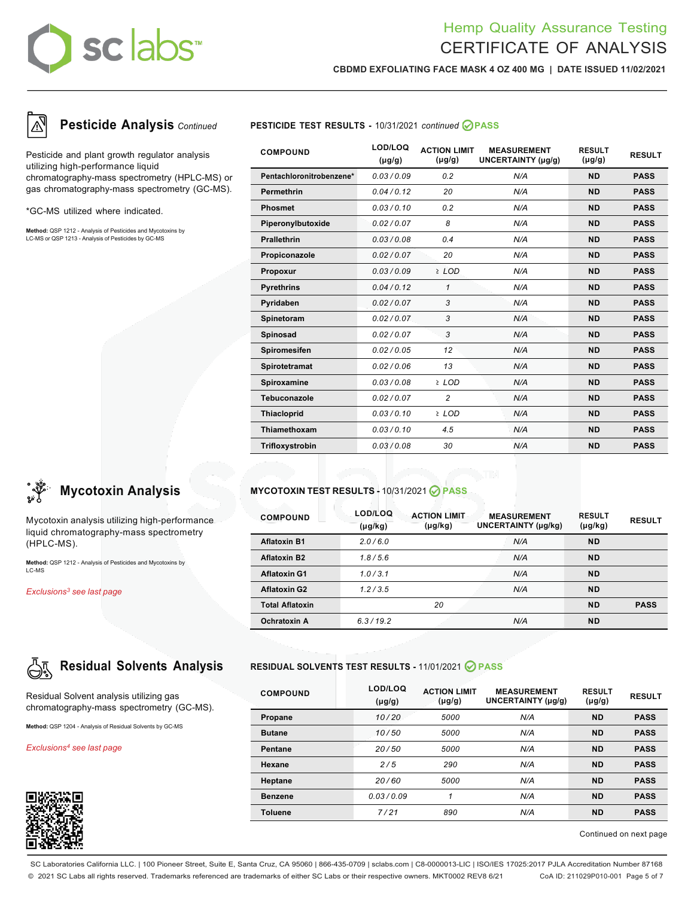# sclabs

# Hemp Quality Assurance Testing CERTIFICATE OF ANALYSIS

**CBDMD EXFOLIATING FACE MASK 4 OZ 400 MG | DATE ISSUED 11/02/2021**



Pesticide and plant growth regulator analysis utilizing high-performance liquid chromatography-mass spectrometry (HPLC-MS) or gas chromatography-mass spectrometry (GC-MS).

\*GC-MS utilized where indicated.

**Method:** QSP 1212 - Analysis of Pesticides and Mycotoxins by LC-MS or QSP 1213 - Analysis of Pesticides by GC-MS



Mycotoxin analysis utilizing high-performance liquid chromatography-mass spectrometry (HPLC-MS).

**Method:** QSP 1212 - Analysis of Pesticides and Mycotoxins by LC-MS

*Exclusions3 see last page*



Residual Solvent analysis utilizing gas chromatography-mass spectrometry (GC-MS).

**Method:** QSP 1204 - Analysis of Residual Solvents by GC-MS

*Exclusions4 see last page*



## **Pesticide Analysis** *Continued* **PESTICIDE TEST RESULTS -** 10/31/2021 *continued* **PASS**

| <b>COMPOUND</b>          | LOD/LOQ<br>$(\mu g/g)$ | <b>ACTION LIMIT</b><br>$(\mu g/g)$ | <b>MEASUREMENT</b><br>UNCERTAINTY (µg/g) | <b>RESULT</b><br>$(\mu g/g)$ | <b>RESULT</b> |
|--------------------------|------------------------|------------------------------------|------------------------------------------|------------------------------|---------------|
| Pentachloronitrobenzene* | 0.03/0.09              | 0.2                                | N/A                                      | <b>ND</b>                    | <b>PASS</b>   |
| <b>Permethrin</b>        | 0.04/0.12              | 20                                 | N/A                                      | <b>ND</b>                    | <b>PASS</b>   |
| <b>Phosmet</b>           | 0.03/0.10              | 0.2                                | N/A                                      | <b>ND</b>                    | <b>PASS</b>   |
| Piperonylbutoxide        | 0.02/0.07              | 8                                  | N/A                                      | <b>ND</b>                    | <b>PASS</b>   |
| <b>Prallethrin</b>       | 0.03/0.08              | 0.4                                | N/A                                      | <b>ND</b>                    | <b>PASS</b>   |
| Propiconazole            | 0.02/0.07              | 20                                 | N/A                                      | <b>ND</b>                    | <b>PASS</b>   |
| Propoxur                 | 0.03/0.09              | $2$ LOD                            | N/A                                      | <b>ND</b>                    | <b>PASS</b>   |
| <b>Pyrethrins</b>        | 0.04/0.12              | 1                                  | N/A                                      | <b>ND</b>                    | <b>PASS</b>   |
| Pyridaben                | 0.02/0.07              | 3                                  | N/A                                      | <b>ND</b>                    | <b>PASS</b>   |
| Spinetoram               | 0.02/0.07              | 3                                  | N/A                                      | <b>ND</b>                    | <b>PASS</b>   |
| <b>Spinosad</b>          | 0.02/0.07              | 3                                  | N/A                                      | <b>ND</b>                    | <b>PASS</b>   |
| Spiromesifen             | 0.02 / 0.05            | 12                                 | N/A                                      | <b>ND</b>                    | <b>PASS</b>   |
| Spirotetramat            | 0.02/0.06              | 13                                 | N/A                                      | <b>ND</b>                    | <b>PASS</b>   |
| Spiroxamine              | 0.03/0.08              | ≥ LOD                              | N/A                                      | <b>ND</b>                    | <b>PASS</b>   |
| Tebuconazole             | 0.02 / 0.07            | 2                                  | N/A                                      | <b>ND</b>                    | <b>PASS</b>   |
| <b>Thiacloprid</b>       | 0.03/0.10              | $2$ LOD                            | N/A                                      | <b>ND</b>                    | <b>PASS</b>   |
| Thiamethoxam             | 0.03/0.10              | 4.5                                | N/A                                      | <b>ND</b>                    | <b>PASS</b>   |
| Trifloxystrobin          | 0.03/0.08              | 30                                 | N/A                                      | <b>ND</b>                    | <b>PASS</b>   |

## **Mycotoxin Analysis MYCOTOXIN TEST RESULTS -** 10/31/2021 **PASS**

| <b>COMPOUND</b>        | LOD/LOQ<br>$(\mu g/kg)$ | <b>ACTION LIMIT</b><br>$(\mu g/kg)$ | <b>MEASUREMENT</b><br><b>UNCERTAINTY (µg/kg)</b> | <b>RESULT</b><br>$(\mu g/kg)$ | <b>RESULT</b> |
|------------------------|-------------------------|-------------------------------------|--------------------------------------------------|-------------------------------|---------------|
| <b>Aflatoxin B1</b>    | 2.0/6.0                 |                                     | N/A                                              | <b>ND</b>                     |               |
| <b>Aflatoxin B2</b>    | 1.8/5.6                 |                                     | N/A                                              | <b>ND</b>                     |               |
| <b>Aflatoxin G1</b>    | 1.0/3.1                 |                                     | N/A                                              | <b>ND</b>                     |               |
| <b>Aflatoxin G2</b>    | 1.2/3.5                 |                                     | N/A                                              | <b>ND</b>                     |               |
| <b>Total Aflatoxin</b> |                         | 20                                  |                                                  | <b>ND</b>                     | <b>PASS</b>   |
| Ochratoxin A           | 6.3/19.2                |                                     | N/A                                              | <b>ND</b>                     |               |

## **Residual Solvents Analysis RESIDUAL SOLVENTS TEST RESULTS -** 11/01/2021 **PASS**

| <b>COMPOUND</b> | LOD/LOQ<br>$(\mu g/g)$ | <b>ACTION LIMIT</b><br>$(\mu g/g)$ | <b>MEASUREMENT</b><br>UNCERTAINTY (µg/g) | <b>RESULT</b><br>$(\mu g/g)$ | <b>RESULT</b> |
|-----------------|------------------------|------------------------------------|------------------------------------------|------------------------------|---------------|
| Propane         | 10/20                  | 5000                               | N/A                                      | <b>ND</b>                    | <b>PASS</b>   |
| <b>Butane</b>   | 10/50                  | 5000                               | N/A                                      | <b>ND</b>                    | <b>PASS</b>   |
| <b>Pentane</b>  | 20/50                  | 5000                               | N/A                                      | <b>ND</b>                    | <b>PASS</b>   |
| <b>Hexane</b>   | 2/5                    | 290                                | N/A                                      | <b>ND</b>                    | <b>PASS</b>   |
| Heptane         | 20/60                  | 5000                               | N/A                                      | <b>ND</b>                    | <b>PASS</b>   |
| <b>Benzene</b>  | 0.03/0.09              | 4                                  | N/A                                      | <b>ND</b>                    | <b>PASS</b>   |
| <b>Toluene</b>  | 7/21                   | 890                                | N/A                                      | <b>ND</b>                    | <b>PASS</b>   |

Continued on next page

SC Laboratories California LLC. | 100 Pioneer Street, Suite E, Santa Cruz, CA 95060 | 866-435-0709 | sclabs.com | C8-0000013-LIC | ISO/IES 17025:2017 PJLA Accreditation Number 87168 © 2021 SC Labs all rights reserved. Trademarks referenced are trademarks of either SC Labs or their respective owners. MKT0002 REV8 6/21 CoA ID: 211029P010-001 Page 5 of 7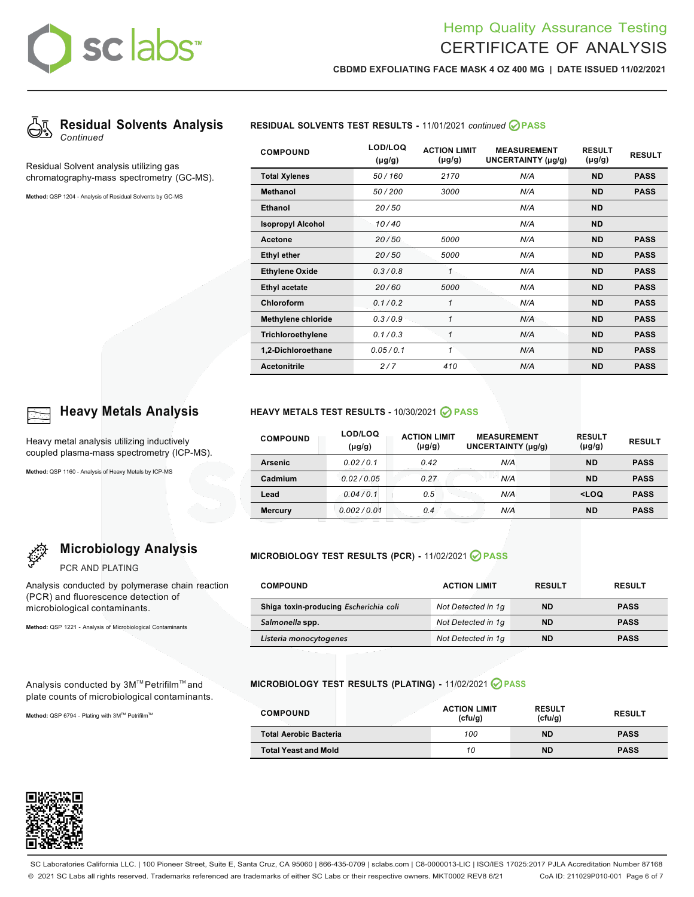# sclabs

# Hemp Quality Assurance Testing CERTIFICATE OF ANALYSIS

**CBDMD EXFOLIATING FACE MASK 4 OZ 400 MG | DATE ISSUED 11/02/2021**



Residual Solvent analysis utilizing gas chromatography-mass spectrometry (GC-MS).

**Method:** QSP 1204 - Analysis of Residual Solvents by GC-MS



| <b>COMPOUND</b>           | LOD/LOQ<br>$(\mu g/g)$ | <b>ACTION LIMIT</b><br>$(\mu g/g)$ | <b>MEASUREMENT</b><br>UNCERTAINTY (µg/g) | <b>RESULT</b><br>$(\mu g/g)$ | <b>RESULT</b> |
|---------------------------|------------------------|------------------------------------|------------------------------------------|------------------------------|---------------|
| <b>Total Xylenes</b>      | 50/160                 | 2170                               | N/A                                      | <b>ND</b>                    | <b>PASS</b>   |
| <b>Methanol</b>           | 50/200                 | 3000                               | N/A                                      | <b>ND</b>                    | <b>PASS</b>   |
| <b>Ethanol</b>            | 20/50                  |                                    | N/A                                      | <b>ND</b>                    |               |
| <b>Isopropyl Alcohol</b>  | 10/40                  |                                    | N/A                                      | <b>ND</b>                    |               |
| Acetone                   | 20/50                  | 5000                               | N/A                                      | <b>ND</b>                    | <b>PASS</b>   |
| <b>Ethyl ether</b>        | 20/50                  | 5000                               | N/A                                      | <b>ND</b>                    | <b>PASS</b>   |
| <b>Ethylene Oxide</b>     | 0.3/0.8                | 1                                  | N/A                                      | <b>ND</b>                    | <b>PASS</b>   |
| <b>Ethyl acetate</b>      | 20/60                  | 5000                               | N/A                                      | <b>ND</b>                    | <b>PASS</b>   |
| Chloroform                | 0.1/0.2                | 1                                  | N/A                                      | <b>ND</b>                    | <b>PASS</b>   |
| <b>Methylene chloride</b> | 0.3/0.9                | 1                                  | N/A                                      | <b>ND</b>                    | <b>PASS</b>   |
| Trichloroethylene         | 0.1/0.3                | 1                                  | N/A                                      | <b>ND</b>                    | <b>PASS</b>   |
| 1,2-Dichloroethane        | 0.05/0.1               | 1                                  | N/A                                      | <b>ND</b>                    | <b>PASS</b>   |
| <b>Acetonitrile</b>       | 2/7                    | 410                                | N/A                                      | <b>ND</b>                    | <b>PASS</b>   |

**Microbiology Analysis**

Analysis conducted by polymerase chain reaction

Heavy metal analysis utilizing inductively coupled plasma-mass spectrometry (ICP-MS).

**Method:** QSP 1160 - Analysis of Heavy Metals by ICP-MS

PCR AND PLATING

(PCR) and fluorescence detection of microbiological contaminants.

**Method:** QSP 1221 - Analysis of Microbiological Contaminants

Analysis conducted by 3M™ Petrifilm™ and plate counts of microbiological contaminants.

Method: QSP 6794 - Plating with 3M™ Petrifilm™

## **Heavy Metals Analysis HEAVY METALS TEST RESULTS -** 10/30/2021 **PASS**

| <b>COMPOUND</b> | LOD/LOQ<br>$(\mu g/g)$ | <b>ACTION LIMIT</b><br>(µg/g) | <b>MEASUREMENT</b><br>UNCERTAINTY (µg/g) | <b>RESULT</b><br>$(\mu g/g)$            | <b>RESULT</b> |
|-----------------|------------------------|-------------------------------|------------------------------------------|-----------------------------------------|---------------|
| <b>Arsenic</b>  | 0.02/0.1               | 0.42                          | N/A                                      | <b>ND</b>                               | <b>PASS</b>   |
| Cadmium         | 0.02/0.05              | 0.27                          | N/A                                      | <b>ND</b>                               | <b>PASS</b>   |
| Lead            | 0.04/0.1               | 0.5                           | N/A                                      | <loq< th=""><th><b>PASS</b></th></loq<> | <b>PASS</b>   |
| <b>Mercury</b>  | 0.002/0.01             | 0.4                           | N/A                                      | <b>ND</b>                               | <b>PASS</b>   |

### **MICROBIOLOGY TEST RESULTS (PCR) -** 11/02/2021 **PASS**

| <b>COMPOUND</b>                        | <b>ACTION LIMIT</b> | <b>RESULT</b> | <b>RESULT</b> |
|----------------------------------------|---------------------|---------------|---------------|
| Shiga toxin-producing Escherichia coli | Not Detected in 1q  | <b>ND</b>     | <b>PASS</b>   |
| Salmonella spp.                        | Not Detected in 1q  | <b>ND</b>     | <b>PASS</b>   |
| Listeria monocytogenes                 | Not Detected in 1q  | <b>ND</b>     | <b>PASS</b>   |

### **MICROBIOLOGY TEST RESULTS (PLATING) -** 11/02/2021 **PASS**

| <b>COMPOUND</b>               | <b>ACTION LIMIT</b><br>(cfu/q) | <b>RESULT</b><br>(cfu/g) | <b>RESULT</b> |
|-------------------------------|--------------------------------|--------------------------|---------------|
| <b>Total Aerobic Bacteria</b> | 100                            | <b>ND</b>                | <b>PASS</b>   |
| <b>Total Yeast and Mold</b>   | 10                             | <b>ND</b>                | <b>PASS</b>   |